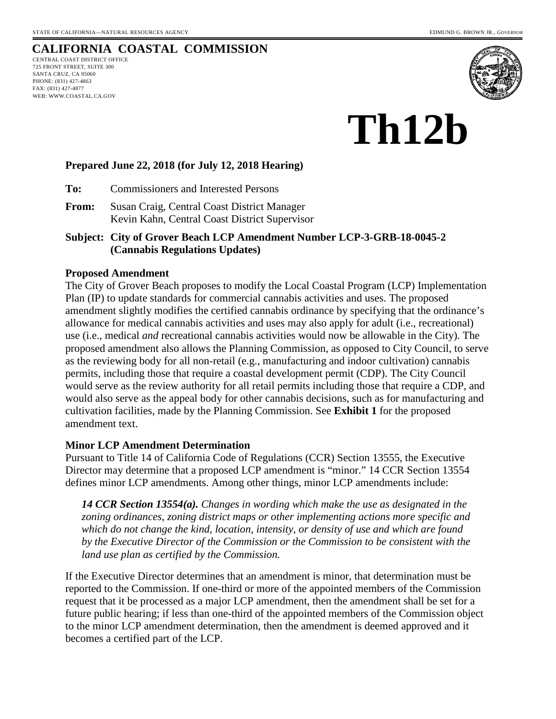## **CALIFORNIA COASTAL COMMISSION**

CENTRAL COAST DISTRICT OFFICE 725 FRONT STREET, SUITE 300 SANTA CRUZ, CA 95060 PHONE: (831) 427-4863 FAX: (831) 427-4877 WEB: WWW.COASTAL.CA.GOV



# **Th12b**

#### **Prepared June 22, 2018 (for July 12, 2018 Hearing)**

**To:** Commissioners and Interested Persons

**From:** Susan Craig, Central Coast District Manager Kevin Kahn, Central Coast District Supervisor

**Subject: City of Grover Beach LCP Amendment Number LCP-3-GRB-18-0045-2 (Cannabis Regulations Updates)** 

#### **Proposed Amendment**

The City of Grover Beach proposes to modify the Local Coastal Program (LCP) Implementation Plan (IP) to update standards for commercial cannabis activities and uses. The proposed amendment slightly modifies the certified cannabis ordinance by specifying that the ordinance's allowance for medical cannabis activities and uses may also apply for adult (i.e., recreational) use (i.e., medical *and* recreational cannabis activities would now be allowable in the City). The proposed amendment also allows the Planning Commission, as opposed to City Council, to serve as the reviewing body for all non-retail (e.g., manufacturing and indoor cultivation) cannabis permits, including those that require a coastal development permit (CDP). The City Council would serve as the review authority for all retail permits including those that require a CDP, and would also serve as the appeal body for other cannabis decisions, such as for manufacturing and cultivation facilities, made by the Planning Commission. See **Exhibit 1** for the proposed amendment text.

#### **Minor LCP Amendment Determination**

Pursuant to Title 14 of California Code of Regulations (CCR) Section 13555, the Executive Director may determine that a proposed LCP amendment is "minor." 14 CCR Section 13554 defines minor LCP amendments. Among other things, minor LCP amendments include:

*14 CCR Section 13554(a). Changes in wording which make the use as designated in the zoning ordinances, zoning district maps or other implementing actions more specific and which do not change the kind, location, intensity, or density of use and which are found by the Executive Director of the Commission or the Commission to be consistent with the land use plan as certified by the Commission.* 

If the Executive Director determines that an amendment is minor, that determination must be reported to the Commission. If one-third or more of the appointed members of the Commission request that it be processed as a major LCP amendment, then the amendment shall be set for a future public hearing; if less than one-third of the appointed members of the Commission object to the minor LCP amendment determination, then the amendment is deemed approved and it becomes a certified part of the LCP.